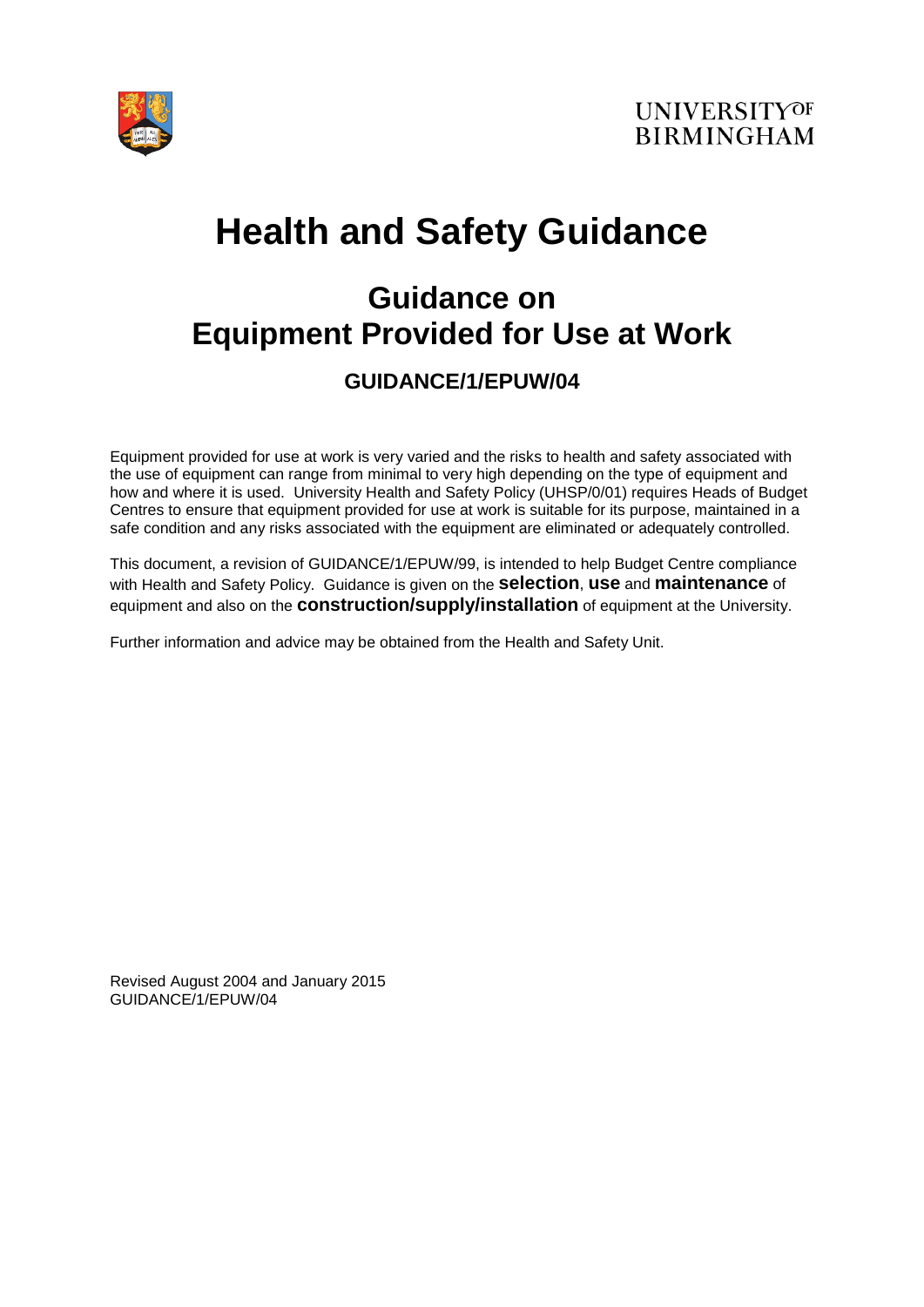

# **Health and Safety Guidance**

## **Guidance on Equipment Provided for Use at Work**

## **GUIDANCE/1/EPUW/04**

Equipment provided for use at work is very varied and the risks to health and safety associated with the use of equipment can range from minimal to very high depending on the type of equipment and how and where it is used. University Health and Safety Policy (UHSP/0/01) requires Heads of Budget Centres to ensure that equipment provided for use at work is suitable for its purpose, maintained in a safe condition and any risks associated with the equipment are eliminated or adequately controlled.

This document, a revision of GUIDANCE/1/EPUW/99, is intended to help Budget Centre compliance with Health and Safety Policy. Guidance is given on the **selection**, **use** and **maintenance** of equipment and also on the **construction/supply/installation** of equipment at the University.

Further information and advice may be obtained from the Health and Safety Unit.

Revised August 2004 and January 2015 GUIDANCE/1/EPUW/04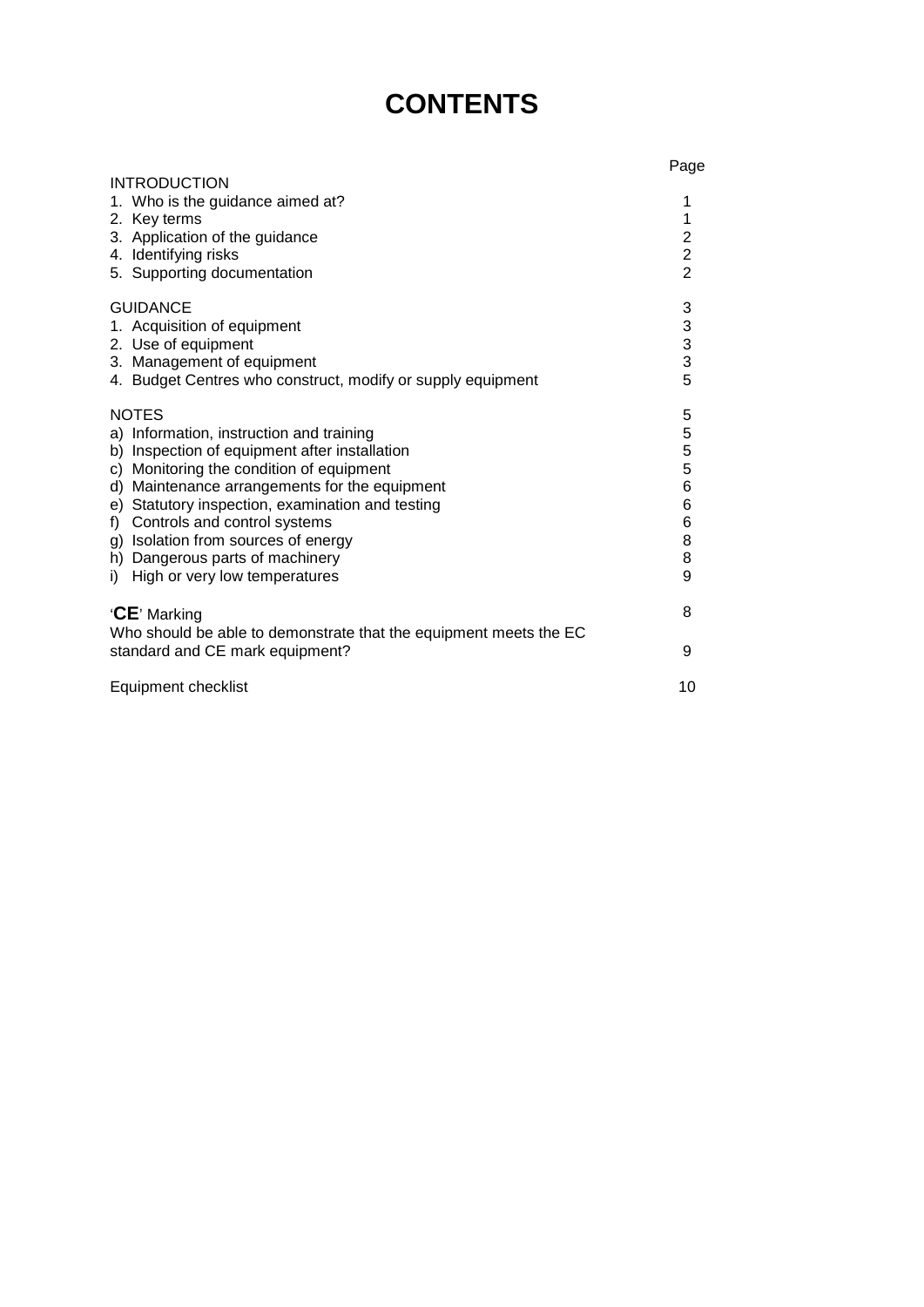## **CONTENTS**

|                                                                   | Page           |
|-------------------------------------------------------------------|----------------|
| <b>INTRODUCTION</b>                                               |                |
| 1. Who is the guidance aimed at?                                  | 1              |
| 2. Key terms                                                      | 1              |
| 3. Application of the guidance                                    | $\overline{2}$ |
| 4. Identifying risks                                              | $\overline{2}$ |
| 5. Supporting documentation                                       | $\overline{2}$ |
| <b>GUIDANCE</b>                                                   | 3              |
| 1. Acquisition of equipment                                       |                |
| 2. Use of equipment                                               | $\frac{3}{3}$  |
| 3. Management of equipment                                        | 3              |
| 4. Budget Centres who construct, modify or supply equipment       | 5              |
| <b>NOTES</b>                                                      | 5              |
| a) Information, instruction and training                          | 5              |
| b) Inspection of equipment after installation                     | 5              |
| c) Monitoring the condition of equipment                          | 5              |
| Maintenance arrangements for the equipment<br>d)                  | $\,6$          |
| e) Statutory inspection, examination and testing                  | 6              |
| Controls and control systems<br>f)                                | 6              |
| g) Isolation from sources of energy                               | 8              |
| h) Dangerous parts of machinery                                   | 8              |
| High or very low temperatures<br>i)                               | 9              |
|                                                                   |                |
| 'CE' Marking                                                      | 8              |
| Who should be able to demonstrate that the equipment meets the EC |                |
| standard and CE mark equipment?                                   | 9              |
|                                                                   |                |
| Equipment checklist                                               | 10             |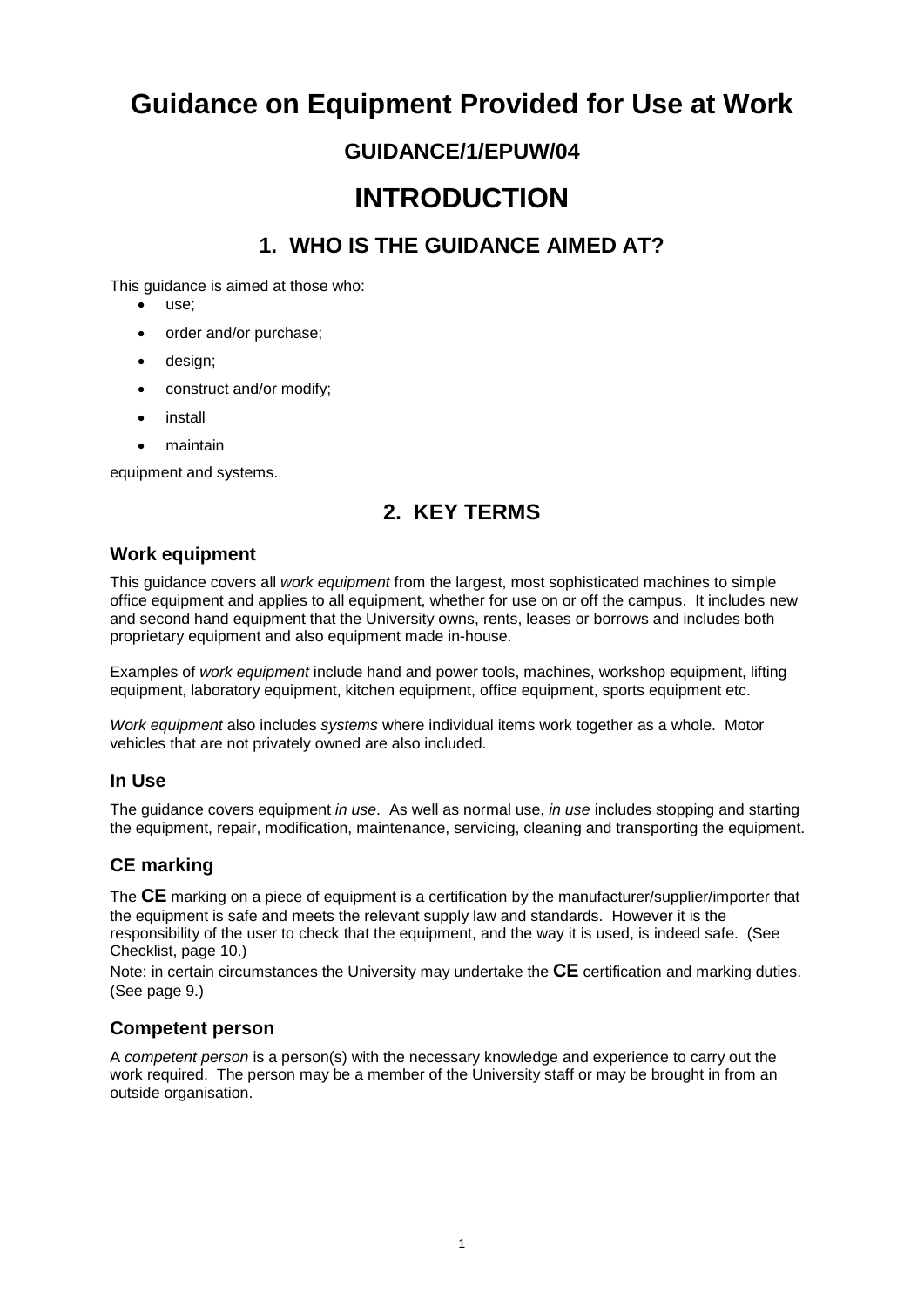## **Guidance on Equipment Provided for Use at Work**

### **GUIDANCE/1/EPUW/04**

## **INTRODUCTION**

### **1. WHO IS THE GUIDANCE AIMED AT?**

This guidance is aimed at those who:

- use:
- order and/or purchase;
- design;
- construct and/or modify;
- **install**
- maintain

equipment and systems.

### **2. KEY TERMS**

#### **Work equipment**

This guidance covers all *work equipment* from the largest, most sophisticated machines to simple office equipment and applies to all equipment, whether for use on or off the campus. It includes new and second hand equipment that the University owns, rents, leases or borrows and includes both proprietary equipment and also equipment made in-house.

Examples of *work equipment* include hand and power tools, machines, workshop equipment, lifting equipment, laboratory equipment, kitchen equipment, office equipment, sports equipment etc.

*Work equipment* also includes *systems* where individual items work together as a whole. Motor vehicles that are not privately owned are also included.

#### **In Use**

The guidance covers equipment *in use*. As well as normal use, *in use* includes stopping and starting the equipment, repair, modification, maintenance, servicing, cleaning and transporting the equipment.

#### **CE marking**

The **CE** marking on a piece of equipment is a certification by the manufacturer/supplier/importer that the equipment is safe and meets the relevant supply law and standards. However it is the responsibility of the user to check that the equipment, and the way it is used, is indeed safe. (See Checklist, page 10.)

Note: in certain circumstances the University may undertake the **CE** certification and marking duties. (See page 9.)

#### **Competent person**

A *competent person* is a person(s) with the necessary knowledge and experience to carry out the work required. The person may be a member of the University staff or may be brought in from an outside organisation.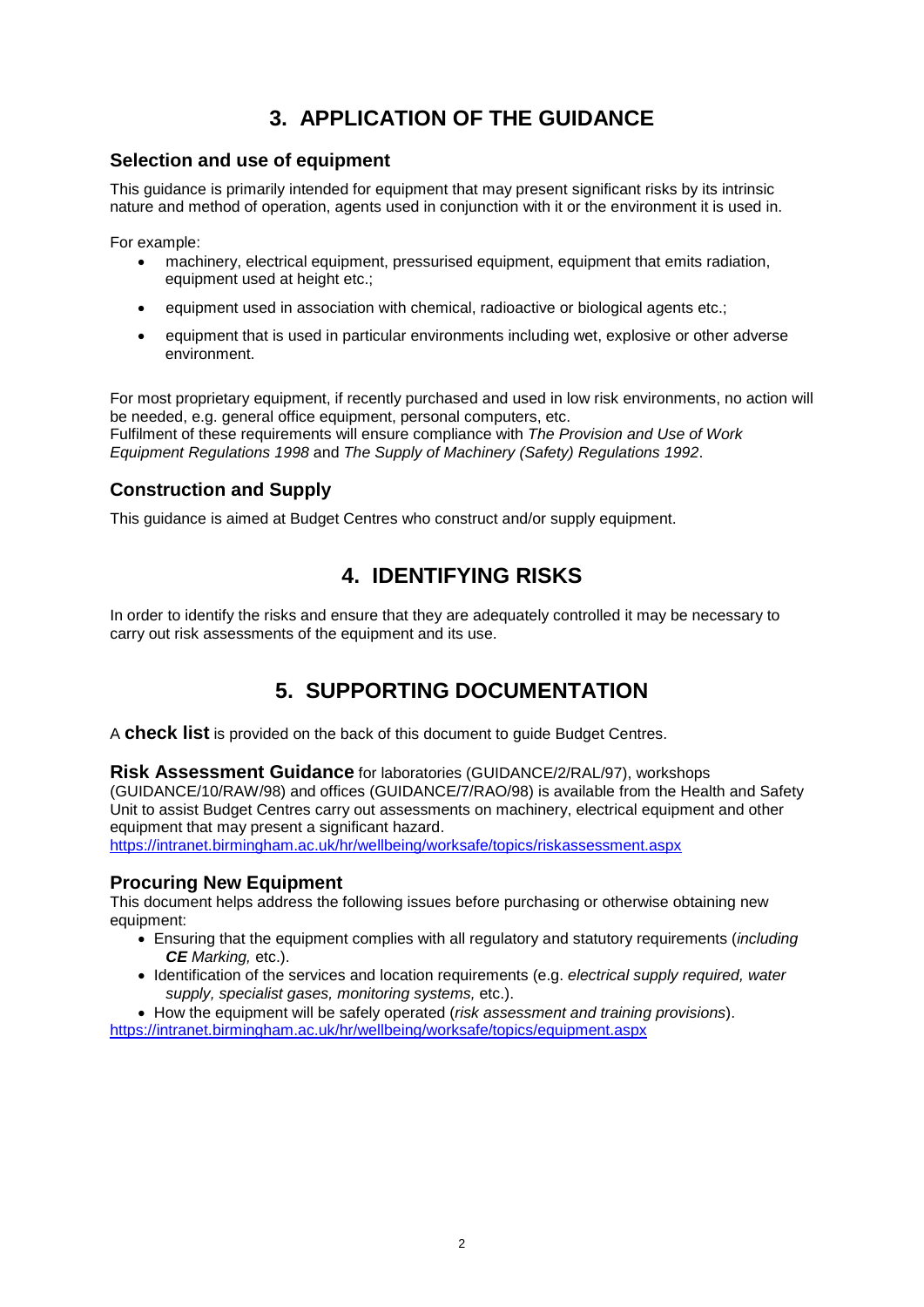## **3. APPLICATION OF THE GUIDANCE**

#### **Selection and use of equipment**

This guidance is primarily intended for equipment that may present significant risks by its intrinsic nature and method of operation, agents used in conjunction with it or the environment it is used in.

For example:

- machinery, electrical equipment, pressurised equipment, equipment that emits radiation, equipment used at height etc.;
- equipment used in association with chemical, radioactive or biological agents etc.;
- equipment that is used in particular environments including wet, explosive or other adverse environment.

For most proprietary equipment, if recently purchased and used in low risk environments, no action will be needed, e.g. general office equipment, personal computers, etc. Fulfilment of these requirements will ensure compliance with *The Provision and Use of Work Equipment Regulations 1998* and *The Supply of Machinery (Safety) Regulations 1992*.

#### **Construction and Supply**

This guidance is aimed at Budget Centres who construct and/or supply equipment.

### **4. IDENTIFYING RISKS**

In order to identify the risks and ensure that they are adequately controlled it may be necessary to carry out risk assessments of the equipment and its use.

## **5. SUPPORTING DOCUMENTATION**

A **check list** is provided on the back of this document to guide Budget Centres.

**Risk Assessment Guidance** for laboratories (GUIDANCE/2/RAL/97), workshops (GUIDANCE/10/RAW/98) and offices (GUIDANCE/7/RAO/98) is available from the Health and Safety Unit to assist Budget Centres carry out assessments on machinery, electrical equipment and other equipment that may present a significant hazard.

<https://intranet.birmingham.ac.uk/hr/wellbeing/worksafe/topics/riskassessment.aspx>

#### **Procuring New Equipment**

This document helps address the following issues before purchasing or otherwise obtaining new equipment:

- Ensuring that the equipment complies with all regulatory and statutory requirements (*including CE Marking,* etc.).
- Identification of the services and location requirements (e.g. *electrical supply required, water supply, specialist gases, monitoring systems,* etc.).
- How the equipment will be safely operated (*risk assessment and training provisions*).

<https://intranet.birmingham.ac.uk/hr/wellbeing/worksafe/topics/equipment.aspx>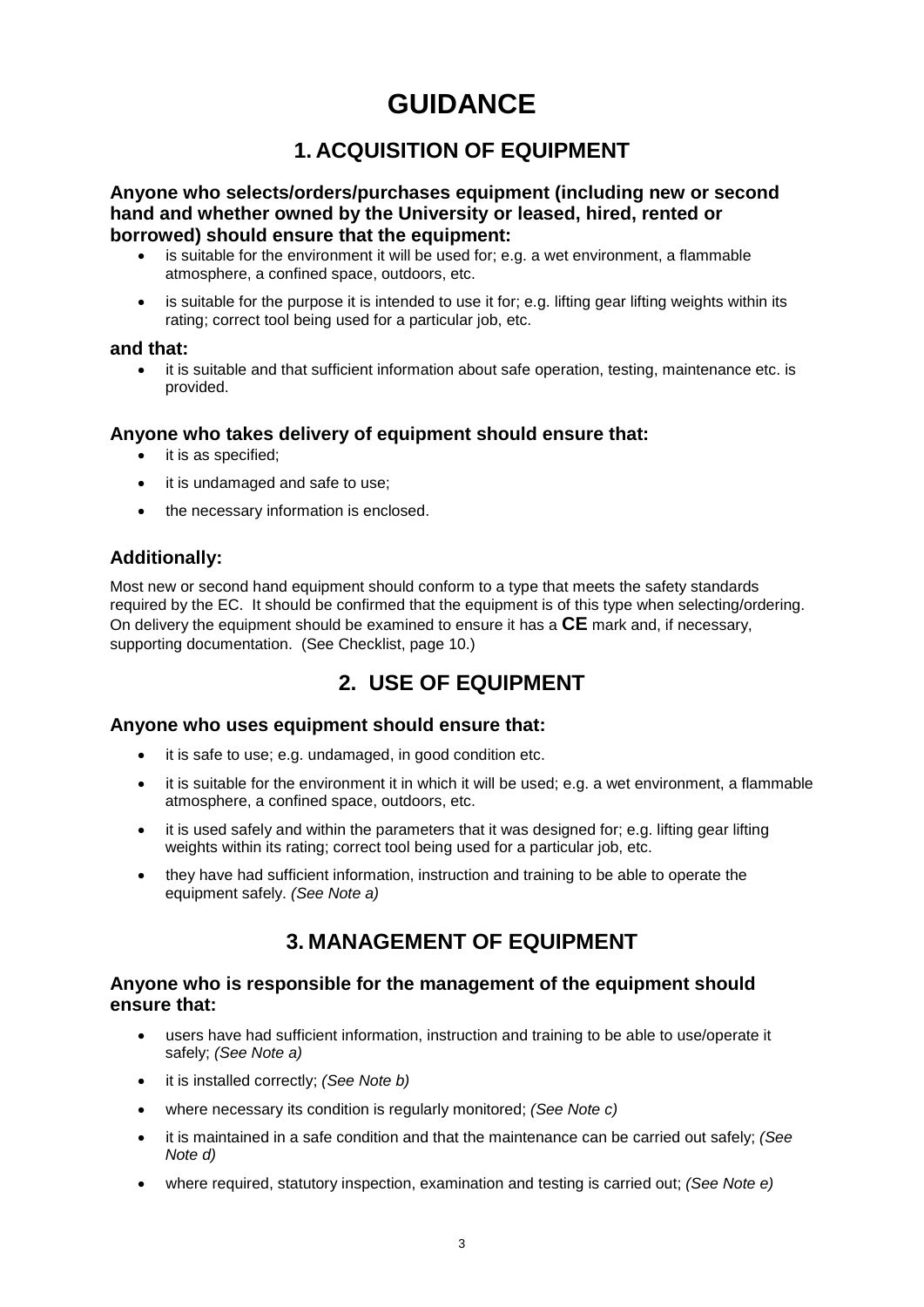## **GUIDANCE**

### **1. ACQUISITION OF EQUIPMENT**

**Anyone who selects/orders/purchases equipment (including new or second hand and whether owned by the University or leased, hired, rented or borrowed) should ensure that the equipment:**

- is suitable for the environment it will be used for; e.g. a wet environment, a flammable atmosphere, a confined space, outdoors, etc.
- is suitable for the purpose it is intended to use it for; e.g. lifting gear lifting weights within its rating; correct tool being used for a particular job, etc.

#### **and that:**

• it is suitable and that sufficient information about safe operation, testing, maintenance etc. is provided.

#### **Anyone who takes delivery of equipment should ensure that:**

- it is as specified:
- it is undamaged and safe to use;
- the necessary information is enclosed.

#### **Additionally:**

Most new or second hand equipment should conform to a type that meets the safety standards required by the EC. It should be confirmed that the equipment is of this type when selecting/ordering. On delivery the equipment should be examined to ensure it has a **CE** mark and, if necessary, supporting documentation. (See Checklist, page 10.)

### **2. USE OF EQUIPMENT**

#### **Anyone who uses equipment should ensure that:**

- it is safe to use; e.g. undamaged, in good condition etc.
- it is suitable for the environment it in which it will be used; e.g. a wet environment, a flammable atmosphere, a confined space, outdoors, etc.
- it is used safely and within the parameters that it was designed for; e.g. lifting gear lifting weights within its rating; correct tool being used for a particular job, etc.
- they have had sufficient information, instruction and training to be able to operate the equipment safely. *(See Note a)*

### **3. MANAGEMENT OF EQUIPMENT**

#### **Anyone who is responsible for the management of the equipment should ensure that:**

- users have had sufficient information, instruction and training to be able to use/operate it safely; *(See Note a)*
- it is installed correctly; *(See Note b)*
- where necessary its condition is regularly monitored; *(See Note c)*
- it is maintained in a safe condition and that the maintenance can be carried out safely; *(See Note d)*
- where required, statutory inspection, examination and testing is carried out; *(See Note e)*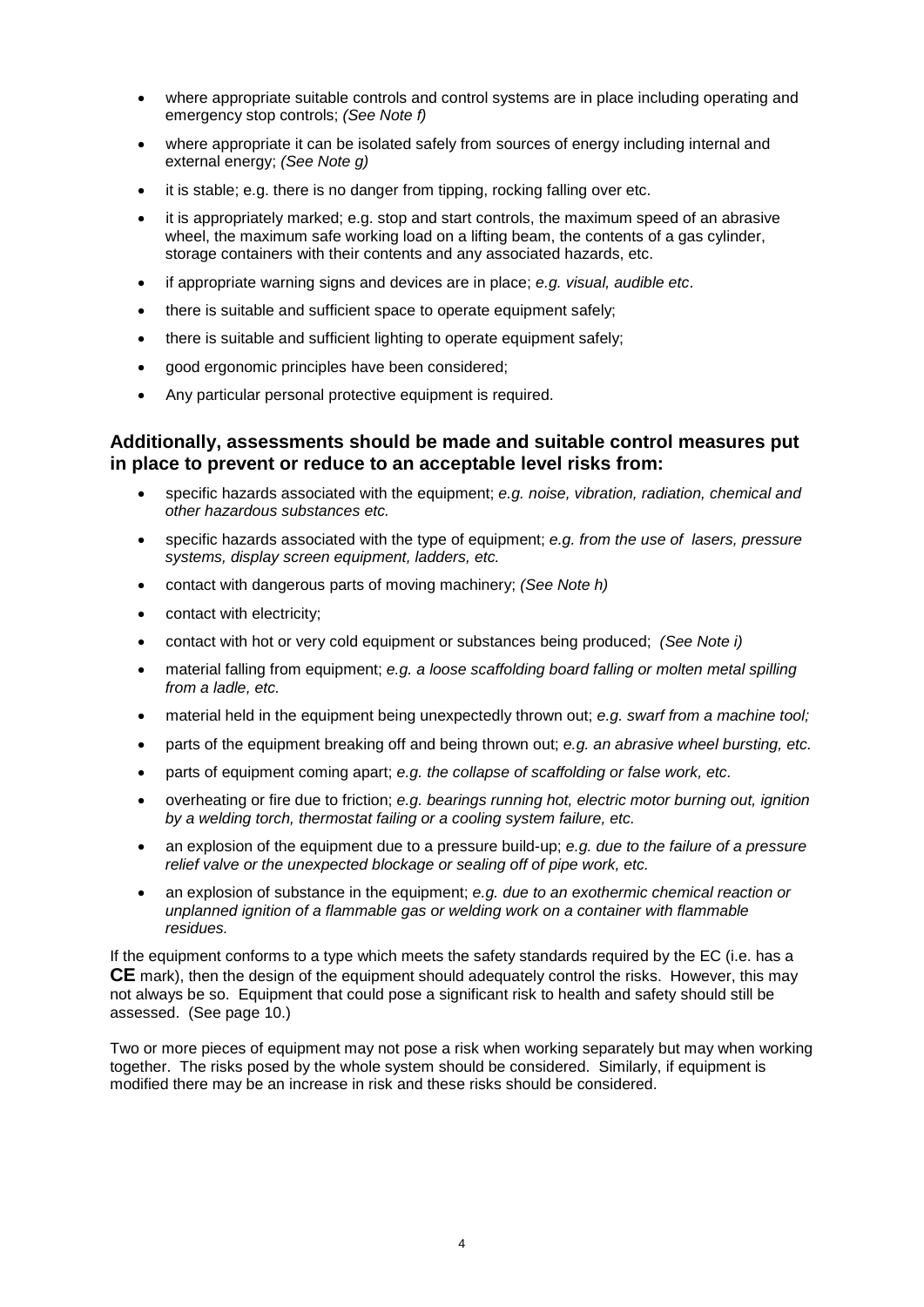- where appropriate suitable controls and control systems are in place including operating and emergency stop controls; *(See Note f)*
- where appropriate it can be isolated safely from sources of energy including internal and external energy; *(See Note g)*
- it is stable; e.g. there is no danger from tipping, rocking falling over etc.
- it is appropriately marked; e.g. stop and start controls, the maximum speed of an abrasive wheel, the maximum safe working load on a lifting beam, the contents of a gas cylinder, storage containers with their contents and any associated hazards, etc.
- if appropriate warning signs and devices are in place; *e.g. visual, audible etc*.
- there is suitable and sufficient space to operate equipment safely;
- there is suitable and sufficient lighting to operate equipment safely;
- good ergonomic principles have been considered;
- Any particular personal protective equipment is required.

#### **Additionally, assessments should be made and suitable control measures put in place to prevent or reduce to an acceptable level risks from:**

- specific hazards associated with the equipment; *e.g. noise, vibration, radiation, chemical and other hazardous substances etc.*
- specific hazards associated with the type of equipment; *e.g. from the use of lasers, pressure systems, display screen equipment, ladders, etc.*
- contact with dangerous parts of moving machinery; *(See Note h)*
- contact with electricity;
- contact with hot or very cold equipment or substances being produced; *(See Note i)*
- material falling from equipment; *e.g. a loose scaffolding board falling or molten metal spilling from a ladle, etc.*
- material held in the equipment being unexpectedly thrown out; *e.g. swarf from a machine tool;*
- parts of the equipment breaking off and being thrown out; *e.g. an abrasive wheel bursting, etc.*
- parts of equipment coming apart; *e.g. the collapse of scaffolding or false work, etc.*
- overheating or fire due to friction; *e.g. bearings running hot, electric motor burning out, ignition by a welding torch, thermostat failing or a cooling system failure, etc.*
- an explosion of the equipment due to a pressure build-up; *e.g. due to the failure of a pressure relief valve or the unexpected blockage or sealing off of pipe work, etc.*
- an explosion of substance in the equipment; *e.g. due to an exothermic chemical reaction or unplanned ignition of a flammable gas or welding work on a container with flammable residues.*

If the equipment conforms to a type which meets the safety standards required by the EC (i.e. has a **CE** mark), then the design of the equipment should adequately control the risks. However, this may not always be so. Equipment that could pose a significant risk to health and safety should still be assessed. (See page 10.)

Two or more pieces of equipment may not pose a risk when working separately but may when working together. The risks posed by the whole system should be considered. Similarly, if equipment is modified there may be an increase in risk and these risks should be considered.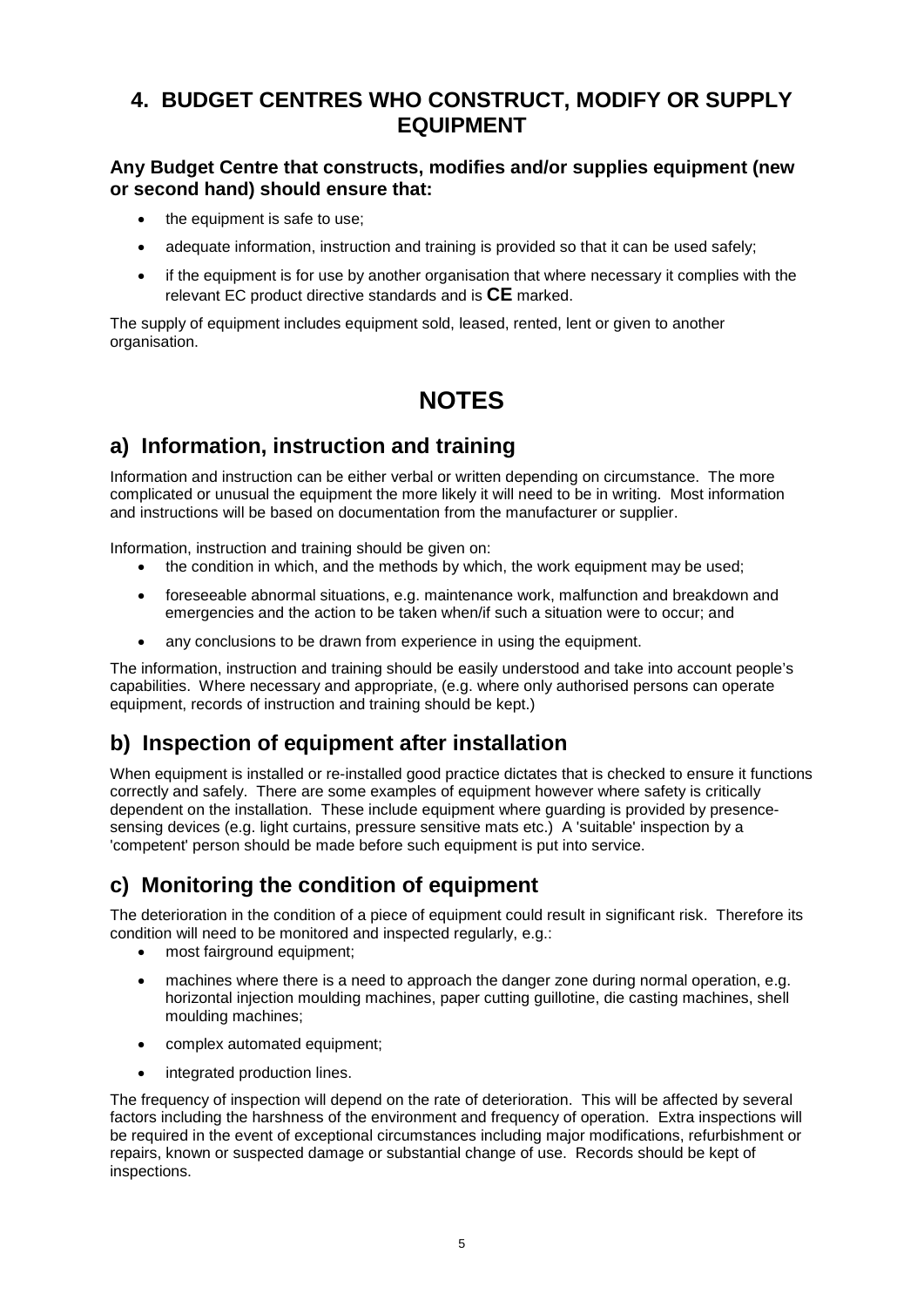### **4. BUDGET CENTRES WHO CONSTRUCT, MODIFY OR SUPPLY EQUIPMENT**

#### **Any Budget Centre that constructs, modifies and/or supplies equipment (new or second hand) should ensure that:**

- the equipment is safe to use;
- adequate information, instruction and training is provided so that it can be used safely;
- if the equipment is for use by another organisation that where necessary it complies with the relevant EC product directive standards and is **CE** marked.

The supply of equipment includes equipment sold, leased, rented, lent or given to another organisation.

## **NOTES**

## **a) Information, instruction and training**

Information and instruction can be either verbal or written depending on circumstance. The more complicated or unusual the equipment the more likely it will need to be in writing. Most information and instructions will be based on documentation from the manufacturer or supplier.

Information, instruction and training should be given on:

- the condition in which, and the methods by which, the work equipment may be used;
- foreseeable abnormal situations, e.g. maintenance work, malfunction and breakdown and emergencies and the action to be taken when/if such a situation were to occur; and
- any conclusions to be drawn from experience in using the equipment.

The information, instruction and training should be easily understood and take into account people's capabilities. Where necessary and appropriate, (e.g. where only authorised persons can operate equipment, records of instruction and training should be kept.)

## **b) Inspection of equipment after installation**

When equipment is installed or re-installed good practice dictates that is checked to ensure it functions correctly and safely. There are some examples of equipment however where safety is critically dependent on the installation. These include equipment where guarding is provided by presencesensing devices (e.g. light curtains, pressure sensitive mats etc.) A 'suitable' inspection by a 'competent' person should be made before such equipment is put into service.

## **c) Monitoring the condition of equipment**

The deterioration in the condition of a piece of equipment could result in significant risk. Therefore its condition will need to be monitored and inspected regularly, e.g.:

- most fairground equipment;
- machines where there is a need to approach the danger zone during normal operation, e.g. horizontal injection moulding machines, paper cutting guillotine, die casting machines, shell moulding machines;
- complex automated equipment;
- integrated production lines.

The frequency of inspection will depend on the rate of deterioration. This will be affected by several factors including the harshness of the environment and frequency of operation. Extra inspections will be required in the event of exceptional circumstances including major modifications, refurbishment or repairs, known or suspected damage or substantial change of use. Records should be kept of inspections.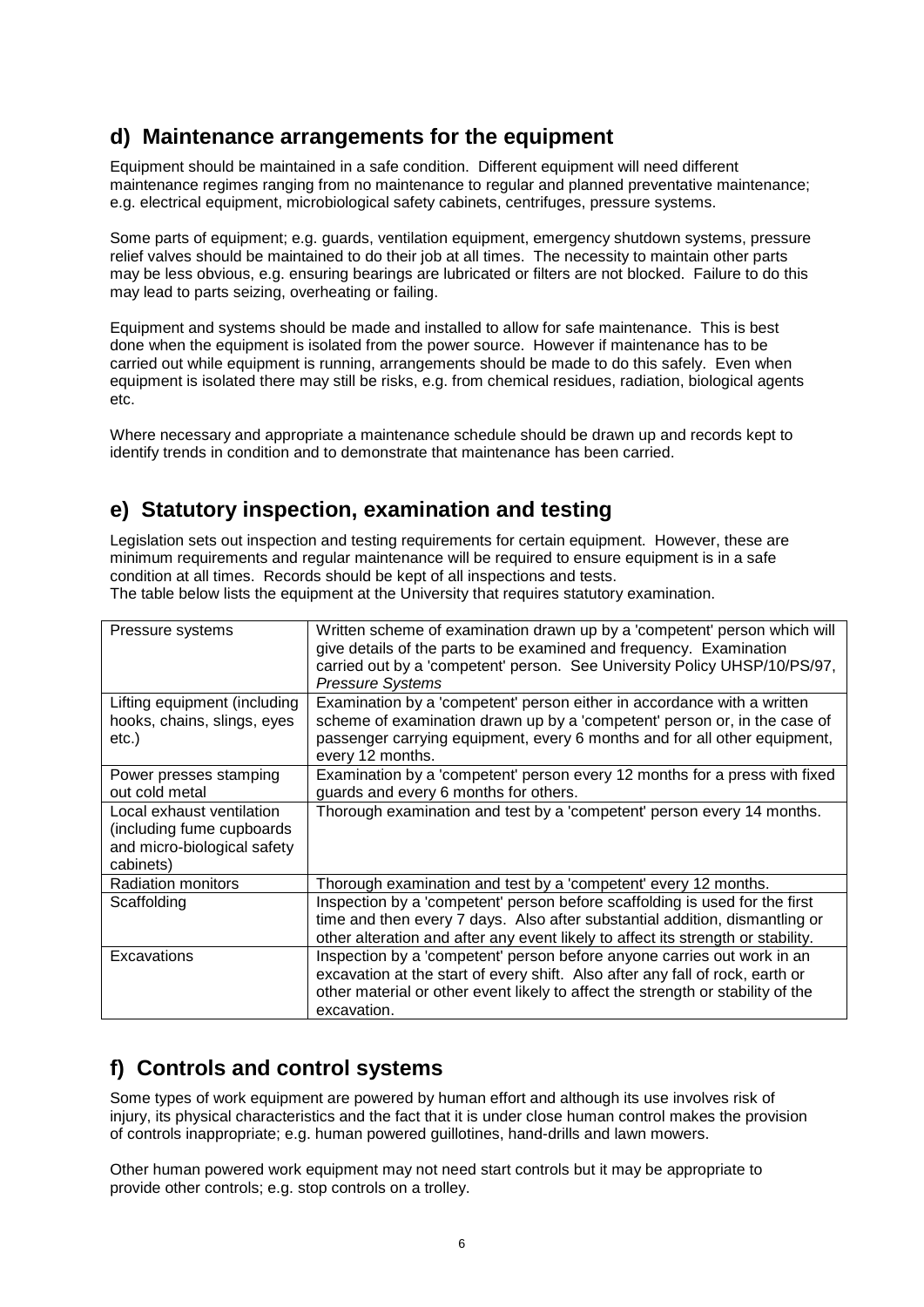### **d) Maintenance arrangements for the equipment**

Equipment should be maintained in a safe condition. Different equipment will need different maintenance regimes ranging from no maintenance to regular and planned preventative maintenance; e.g. electrical equipment, microbiological safety cabinets, centrifuges, pressure systems.

Some parts of equipment; e.g. guards, ventilation equipment, emergency shutdown systems, pressure relief valves should be maintained to do their job at all times. The necessity to maintain other parts may be less obvious, e.g. ensuring bearings are lubricated or filters are not blocked. Failure to do this may lead to parts seizing, overheating or failing.

Equipment and systems should be made and installed to allow for safe maintenance. This is best done when the equipment is isolated from the power source. However if maintenance has to be carried out while equipment is running, arrangements should be made to do this safely. Even when equipment is isolated there may still be risks, e.g. from chemical residues, radiation, biological agents etc.

Where necessary and appropriate a maintenance schedule should be drawn up and records kept to identify trends in condition and to demonstrate that maintenance has been carried.

## **e) Statutory inspection, examination and testing**

Legislation sets out inspection and testing requirements for certain equipment. However, these are minimum requirements and regular maintenance will be required to ensure equipment is in a safe condition at all times. Records should be kept of all inspections and tests. The table below lists the equipment at the University that requires statutory examination.

| Pressure systems                                                                                    | Written scheme of examination drawn up by a 'competent' person which will<br>give details of the parts to be examined and frequency. Examination<br>carried out by a 'competent' person. See University Policy UHSP/10/PS/97,<br><b>Pressure Systems</b>   |
|-----------------------------------------------------------------------------------------------------|------------------------------------------------------------------------------------------------------------------------------------------------------------------------------------------------------------------------------------------------------------|
| Lifting equipment (including<br>hooks, chains, slings, eyes<br>etc.)                                | Examination by a 'competent' person either in accordance with a written<br>scheme of examination drawn up by a 'competent' person or, in the case of<br>passenger carrying equipment, every 6 months and for all other equipment,<br>every 12 months.      |
| Power presses stamping<br>out cold metal                                                            | Examination by a 'competent' person every 12 months for a press with fixed<br>guards and every 6 months for others.                                                                                                                                        |
| Local exhaust ventilation<br>(including fume cupboards)<br>and micro-biological safety<br>cabinets) | Thorough examination and test by a 'competent' person every 14 months.                                                                                                                                                                                     |
| <b>Radiation monitors</b>                                                                           | Thorough examination and test by a 'competent' every 12 months.                                                                                                                                                                                            |
| Scaffolding                                                                                         | Inspection by a 'competent' person before scaffolding is used for the first<br>time and then every 7 days. Also after substantial addition, dismantling or<br>other alteration and after any event likely to affect its strength or stability.             |
| Excavations                                                                                         | Inspection by a 'competent' person before anyone carries out work in an<br>excavation at the start of every shift. Also after any fall of rock, earth or<br>other material or other event likely to affect the strength or stability of the<br>excavation. |

## **f) Controls and control systems**

Some types of work equipment are powered by human effort and although its use involves risk of injury, its physical characteristics and the fact that it is under close human control makes the provision of controls inappropriate; e.g. human powered guillotines, hand-drills and lawn mowers.

Other human powered work equipment may not need start controls but it may be appropriate to provide other controls; e.g. stop controls on a trolley.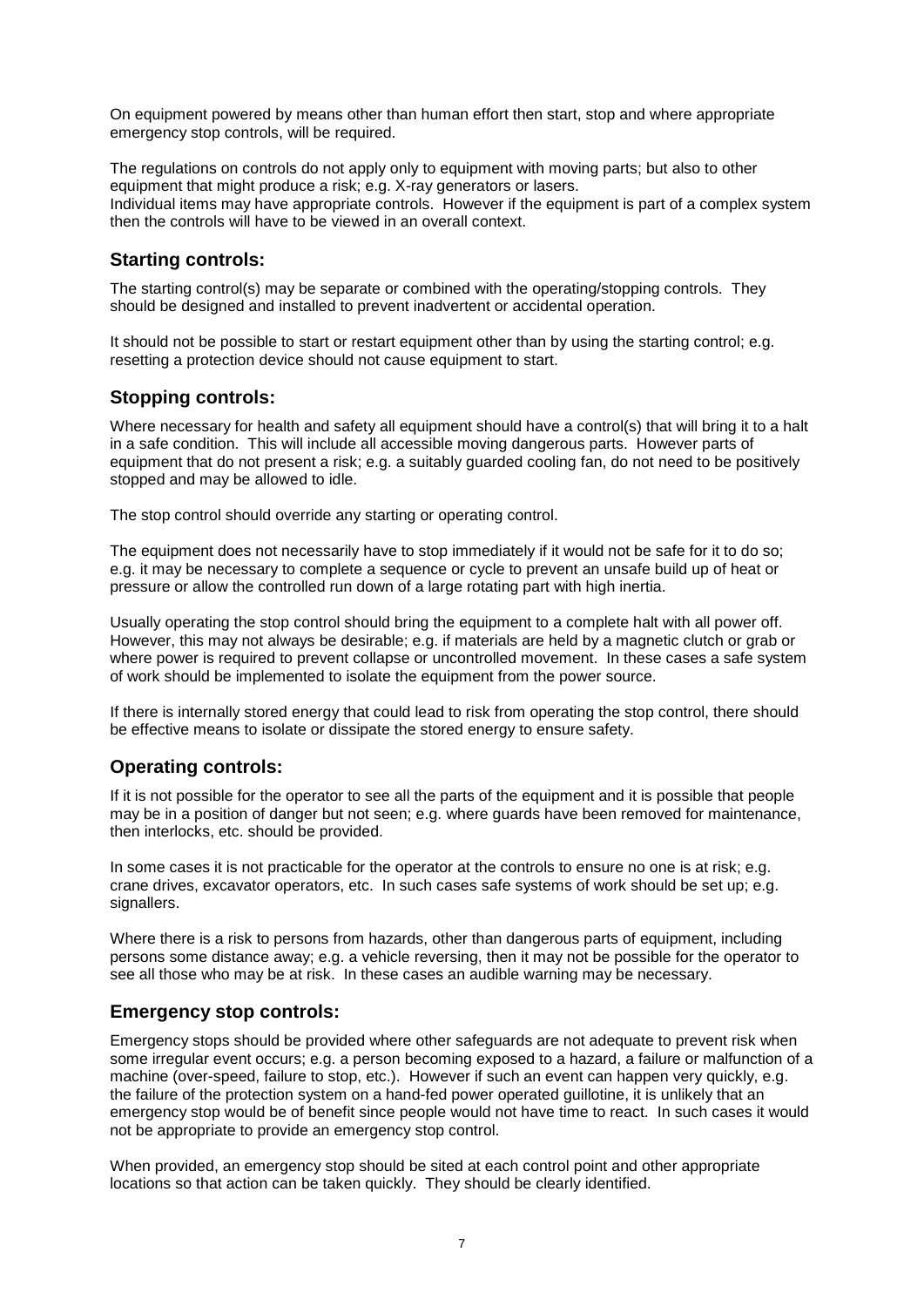On equipment powered by means other than human effort then start, stop and where appropriate emergency stop controls, will be required.

The regulations on controls do not apply only to equipment with moving parts; but also to other equipment that might produce a risk; e.g. X-ray generators or lasers. Individual items may have appropriate controls. However if the equipment is part of a complex system then the controls will have to be viewed in an overall context.

#### **Starting controls:**

The starting control(s) may be separate or combined with the operating/stopping controls. They should be designed and installed to prevent inadvertent or accidental operation.

It should not be possible to start or restart equipment other than by using the starting control; e.g. resetting a protection device should not cause equipment to start.

#### **Stopping controls:**

Where necessary for health and safety all equipment should have a control(s) that will bring it to a halt in a safe condition. This will include all accessible moving dangerous parts. However parts of equipment that do not present a risk; e.g. a suitably guarded cooling fan, do not need to be positively stopped and may be allowed to idle.

The stop control should override any starting or operating control.

The equipment does not necessarily have to stop immediately if it would not be safe for it to do so; e.g. it may be necessary to complete a sequence or cycle to prevent an unsafe build up of heat or pressure or allow the controlled run down of a large rotating part with high inertia.

Usually operating the stop control should bring the equipment to a complete halt with all power off. However, this may not always be desirable; e.g. if materials are held by a magnetic clutch or grab or where power is required to prevent collapse or uncontrolled movement. In these cases a safe system of work should be implemented to isolate the equipment from the power source.

If there is internally stored energy that could lead to risk from operating the stop control, there should be effective means to isolate or dissipate the stored energy to ensure safety.

#### **Operating controls:**

If it is not possible for the operator to see all the parts of the equipment and it is possible that people may be in a position of danger but not seen; e.g. where guards have been removed for maintenance, then interlocks, etc. should be provided.

In some cases it is not practicable for the operator at the controls to ensure no one is at risk; e.g. crane drives, excavator operators, etc. In such cases safe systems of work should be set up; e.g. signallers.

Where there is a risk to persons from hazards, other than dangerous parts of equipment, including persons some distance away; e.g. a vehicle reversing, then it may not be possible for the operator to see all those who may be at risk. In these cases an audible warning may be necessary.

#### **Emergency stop controls:**

Emergency stops should be provided where other safeguards are not adequate to prevent risk when some irregular event occurs; e.g. a person becoming exposed to a hazard, a failure or malfunction of a machine (over-speed, failure to stop, etc.). However if such an event can happen very quickly, e.g. the failure of the protection system on a hand-fed power operated guillotine, it is unlikely that an emergency stop would be of benefit since people would not have time to react. In such cases it would not be appropriate to provide an emergency stop control.

When provided, an emergency stop should be sited at each control point and other appropriate locations so that action can be taken quickly. They should be clearly identified.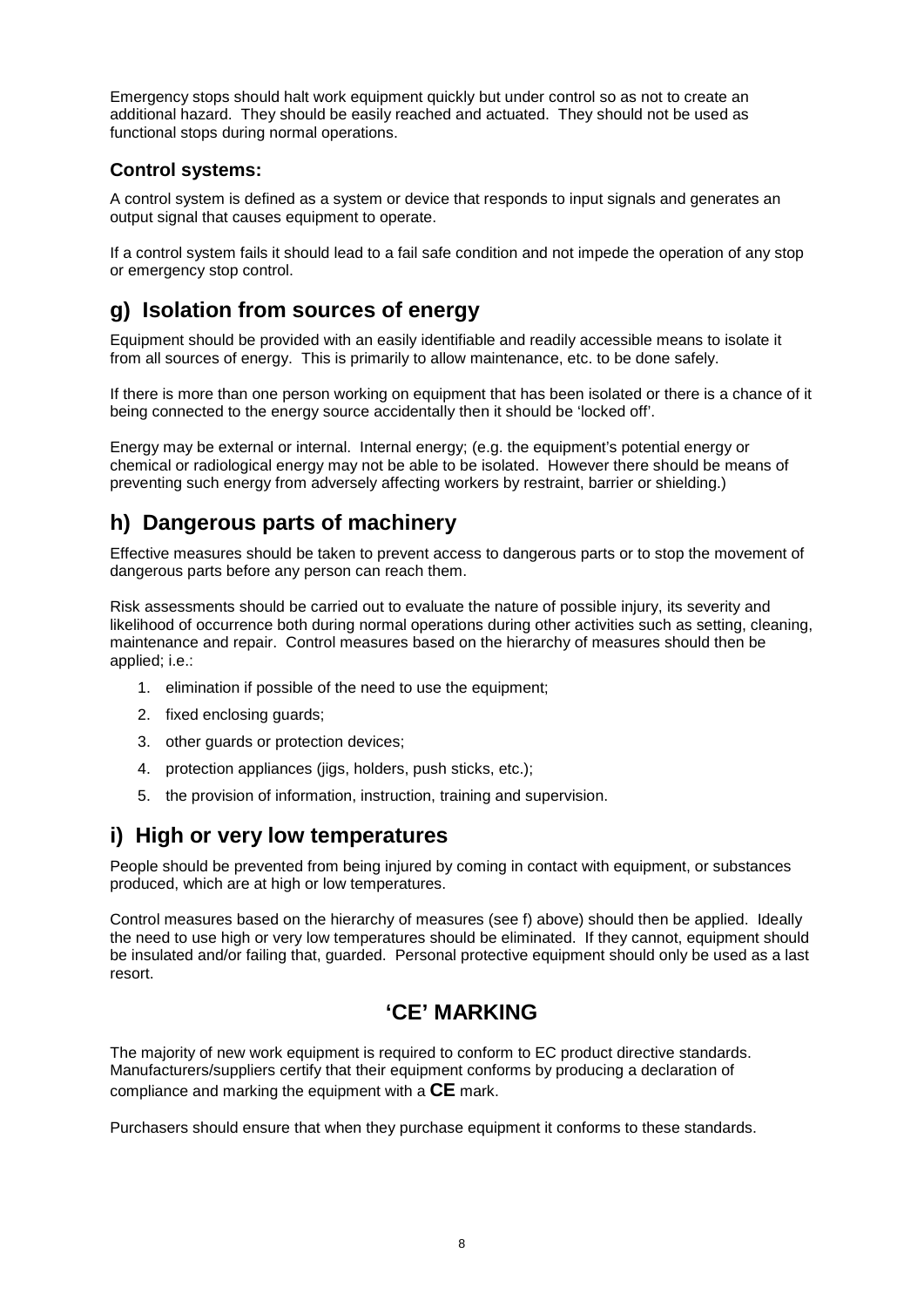Emergency stops should halt work equipment quickly but under control so as not to create an additional hazard. They should be easily reached and actuated. They should not be used as functional stops during normal operations.

#### **Control systems:**

A control system is defined as a system or device that responds to input signals and generates an output signal that causes equipment to operate.

If a control system fails it should lead to a fail safe condition and not impede the operation of any stop or emergency stop control.

## **g) Isolation from sources of energy**

Equipment should be provided with an easily identifiable and readily accessible means to isolate it from all sources of energy. This is primarily to allow maintenance, etc. to be done safely.

If there is more than one person working on equipment that has been isolated or there is a chance of it being connected to the energy source accidentally then it should be 'locked off'.

Energy may be external or internal. Internal energy; (e.g. the equipment's potential energy or chemical or radiological energy may not be able to be isolated. However there should be means of preventing such energy from adversely affecting workers by restraint, barrier or shielding.)

## **h) Dangerous parts of machinery**

Effective measures should be taken to prevent access to dangerous parts or to stop the movement of dangerous parts before any person can reach them.

Risk assessments should be carried out to evaluate the nature of possible injury, its severity and likelihood of occurrence both during normal operations during other activities such as setting, cleaning, maintenance and repair. Control measures based on the hierarchy of measures should then be applied; i.e.:

- 1. elimination if possible of the need to use the equipment;
- 2. fixed enclosing guards;
- 3. other guards or protection devices;
- 4. protection appliances (jigs, holders, push sticks, etc.);
- 5. the provision of information, instruction, training and supervision.

### **i) High or very low temperatures**

People should be prevented from being injured by coming in contact with equipment, or substances produced, which are at high or low temperatures.

Control measures based on the hierarchy of measures (see f) above) should then be applied. Ideally the need to use high or very low temperatures should be eliminated. If they cannot, equipment should be insulated and/or failing that, guarded. Personal protective equipment should only be used as a last resort.

## **'CE' MARKING**

The majority of new work equipment is required to conform to EC product directive standards. Manufacturers/suppliers certify that their equipment conforms by producing a declaration of compliance and marking the equipment with a **CE** mark.

Purchasers should ensure that when they purchase equipment it conforms to these standards.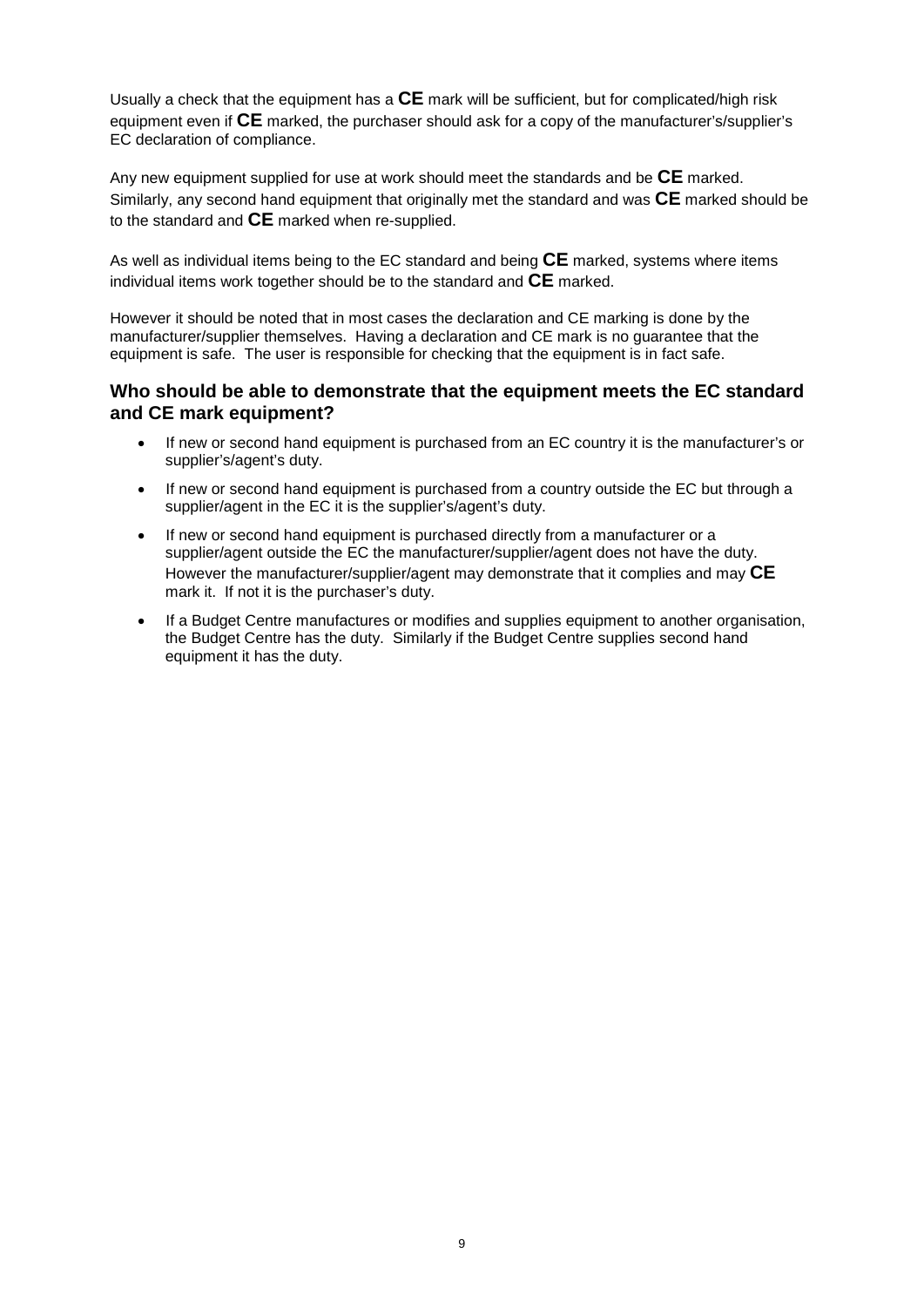Usually a check that the equipment has a **CE** mark will be sufficient, but for complicated/high risk equipment even if **CE** marked, the purchaser should ask for a copy of the manufacturer's/supplier's EC declaration of compliance.

Any new equipment supplied for use at work should meet the standards and be **CE** marked. Similarly, any second hand equipment that originally met the standard and was **CE** marked should be to the standard and **CE** marked when re-supplied.

As well as individual items being to the EC standard and being **CE** marked, systems where items individual items work together should be to the standard and **CE** marked.

However it should be noted that in most cases the declaration and CE marking is done by the manufacturer/supplier themselves. Having a declaration and CE mark is no guarantee that the equipment is safe. The user is responsible for checking that the equipment is in fact safe.

#### **Who should be able to demonstrate that the equipment meets the EC standard and CE mark equipment?**

- If new or second hand equipment is purchased from an EC country it is the manufacturer's or supplier's/agent's duty.
- If new or second hand equipment is purchased from a country outside the EC but through a supplier/agent in the EC it is the supplier's/agent's duty.
- If new or second hand equipment is purchased directly from a manufacturer or a supplier/agent outside the EC the manufacturer/supplier/agent does not have the duty. However the manufacturer/supplier/agent may demonstrate that it complies and may **CE** mark it. If not it is the purchaser's duty.
- If a Budget Centre manufactures or modifies and supplies equipment to another organisation, the Budget Centre has the duty. Similarly if the Budget Centre supplies second hand equipment it has the duty.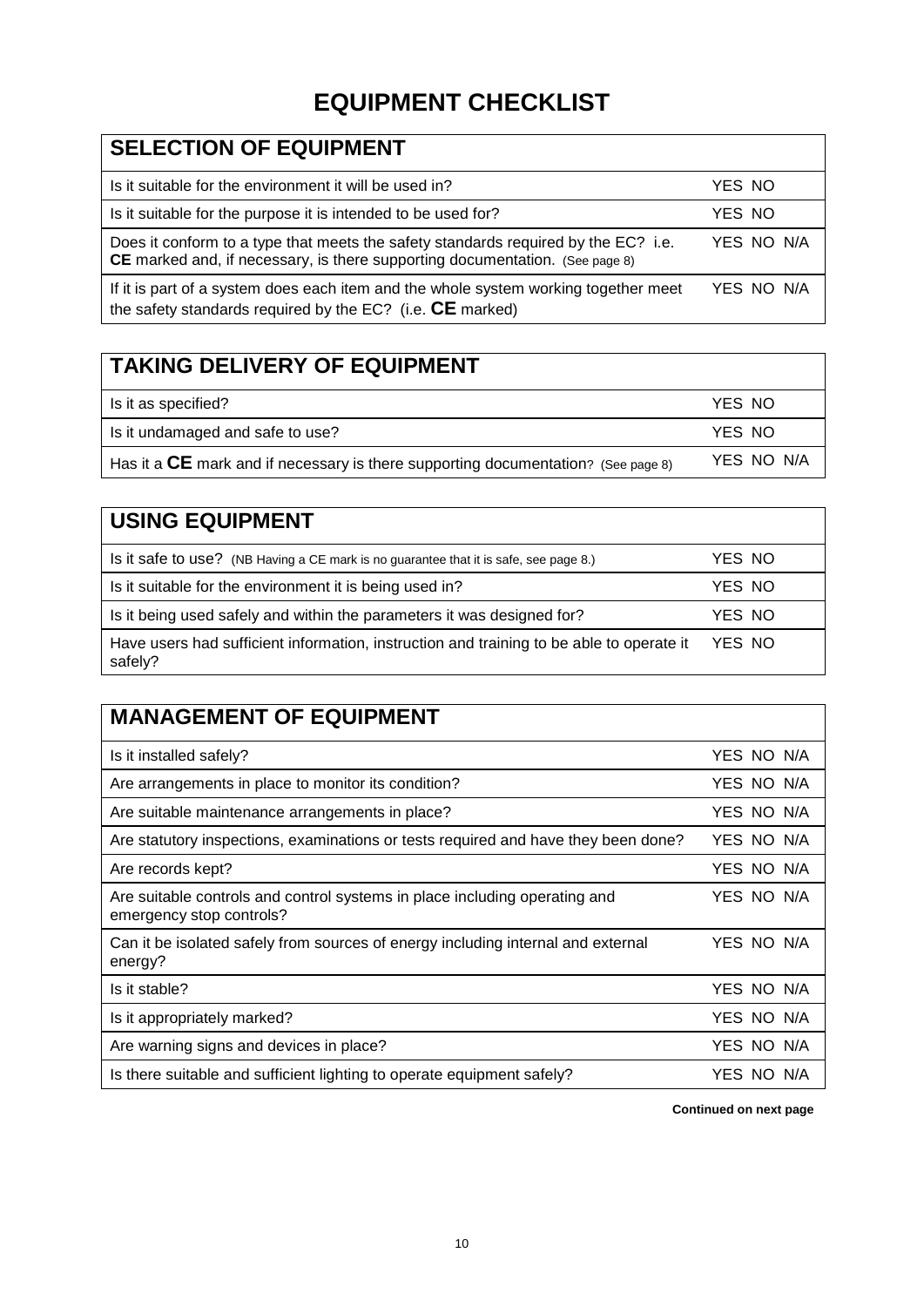## **EQUIPMENT CHECKLIST**

| <b>SELECTION OF EQUIPMENT</b>                                                                                                                                      |            |
|--------------------------------------------------------------------------------------------------------------------------------------------------------------------|------------|
| Is it suitable for the environment it will be used in?                                                                                                             | YES NO     |
| Is it suitable for the purpose it is intended to be used for?                                                                                                      | YES NO     |
| Does it conform to a type that meets the safety standards required by the EC? i.e.<br>CE marked and, if necessary, is there supporting documentation. (See page 8) | YES NO N/A |
| If it is part of a system does each item and the whole system working together meet<br>the safety standards required by the EC? (i.e. $CE$ marked)                 | YES NO N/A |

## **TAKING DELIVERY OF EQUIPMENT**

| Is it as specified?                                                                 | YES NO     |
|-------------------------------------------------------------------------------------|------------|
| Is it undamaged and safe to use?                                                    | YES NO     |
| Has it a $CE$ mark and if necessary is there supporting documentation? (See page 8) | YES NO N/A |

#### **USING EQUIPMENT** Is it safe to use? (NB Having a CE mark is no guarantee that it is safe, see page 8.) YES NO Is it suitable for the environment it is being used in? YES NO Is it being used safely and within the parameters it was designed for? YES NO Have users had sufficient information, instruction and training to be able to operate it safely? YES NO

## **MANAGEMENT OF EQUIPMENT**

| Is it installed safely?                                                                                | YES NO N/A |
|--------------------------------------------------------------------------------------------------------|------------|
| Are arrangements in place to monitor its condition?                                                    | YES NO N/A |
| Are suitable maintenance arrangements in place?                                                        | YES NO N/A |
| Are statutory inspections, examinations or tests required and have they been done?                     | YES NO N/A |
| Are records kept?                                                                                      | YES NO N/A |
| Are suitable controls and control systems in place including operating and<br>emergency stop controls? | YES NO N/A |
| Can it be isolated safely from sources of energy including internal and external<br>energy?            | YES NO N/A |
| Is it stable?                                                                                          | YES NO N/A |
| Is it appropriately marked?                                                                            | YES NO N/A |
| Are warning signs and devices in place?                                                                | YES NO N/A |
| Is there suitable and sufficient lighting to operate equipment safely?                                 | YES NO N/A |

**Continued on next page**